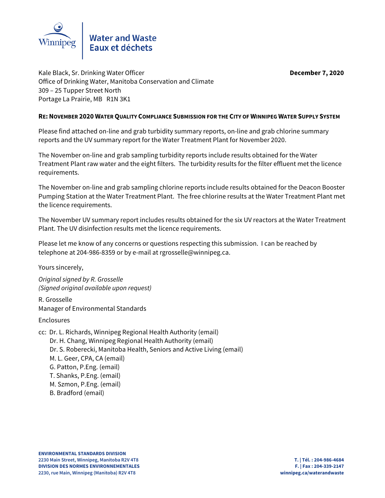

Kale Black, Sr. Drinking Water Officer **December 7, 2020** Office of Drinking Water, Manitoba Conservation and Climate 309 – 25 Tupper Street North Portage La Prairie, MB R1N 3K1

# **RE: NOVEMBER 2020 WATER QUALITY COMPLIANCE SUBMISSION FOR THE CITY OF WINNIPEG WATER SUPPLY SYSTEM**

Please find attached on-line and grab turbidity summary reports, on-line and grab chlorine summary reports and the UV summary report for the Water Treatment Plant for November 2020.

The November on-line and grab sampling turbidity reports include results obtained for the Water Treatment Plant raw water and the eight filters. The turbidity results for the filter effluent met the licence requirements.

The November on-line and grab sampling chlorine reports include results obtained for the Deacon Booster Pumping Station at the Water Treatment Plant. The free chlorine results at the Water Treatment Plant met the licence requirements.

The November UV summary report includes results obtained for the six UV reactors at the Water Treatment Plant. The UV disinfection results met the licence requirements.

Please let me know of any concerns or questions respecting this submission. I can be reached by telephone at 204-986-8359 or by e-mail at rgrosselle@winnipeg.ca.

Yours sincerely,

Original signed by R. Grosselle (Signed original available upon request)

R. Grosselle Manager of Environmental Standards

Enclosures

- cc: Dr. L. Richards, Winnipeg Regional Health Authority (email) Dr. H. Chang, Winnipeg Regional Health Authority (email) Dr. S. Roberecki, Manitoba Health, Seniors and Active Living (email) M. L. Geer, CPA, CA (email) G. Patton, P.Eng. (email) T. Shanks, P.Eng. (email) M. Szmon, P.Eng. (email)
	- B. Bradford (email)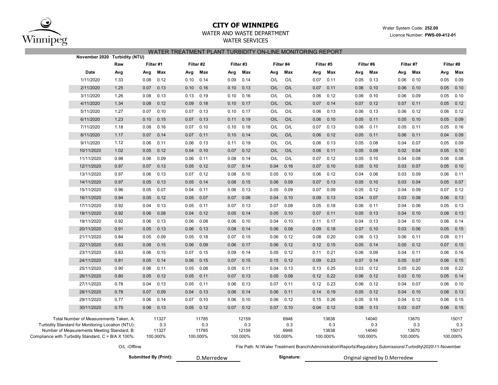

## **CITY OF WINNIPEG**

 Water System Code: **252.00** Licence Number: **PWS-09-412-01**

# WATER AND WASTE DEPARTMENT

WATER SERVICES

### WATER TREATMENT PLANT TURBIDITY ON-LINE MONITORING REPORT

| November 2020 Turbidity (NTU)                       |                                                                                                                                            |              |      |                                   |      |                                   |      |                                   |      |                                 |                                                                                                               |                                   |           |                                   |           |                                   |      |                                   |
|-----------------------------------------------------|--------------------------------------------------------------------------------------------------------------------------------------------|--------------|------|-----------------------------------|------|-----------------------------------|------|-----------------------------------|------|---------------------------------|---------------------------------------------------------------------------------------------------------------|-----------------------------------|-----------|-----------------------------------|-----------|-----------------------------------|------|-----------------------------------|
|                                                     |                                                                                                                                            | Raw          |      | Filter #1                         |      | Filter #2                         |      | Filter #3                         |      | Filter #4                       |                                                                                                               | Filter #5                         | Filter #6 |                                   | Filter #7 |                                   |      | Filter #8                         |
|                                                     | Date                                                                                                                                       | Avg          | Avg  | Max                               | Avg  | Max                               | Avg  | Max                               | Avg  | Max                             | Avg                                                                                                           | Max                               | Avg       | Max                               | Avg       | Max                               | Avg  | Max                               |
|                                                     | 1/11/2020                                                                                                                                  | 1.33         | 0.08 | 0.12                              | 0.10 | 0.14                              | 0.09 | 0.14                              | O/L  | O/L                             | 0.07                                                                                                          | 0.11                              | 0.05      | 0.13                              | 0.06      | 0.10                              | 0.05 | 0.09                              |
|                                                     | 2/11/2020                                                                                                                                  | 1.25         | 0.07 | 0.13                              | 0.10 | 0.16                              | 0.10 | 0.13                              | O/L  | O/L                             | 0.07                                                                                                          | 0.11                              | 0.06      | 0.10                              | 0.06      | 0.10                              | 0.05 | 0.10                              |
|                                                     | 3/11/2020                                                                                                                                  | 1.26         | 0.08 | 0.13                              | 0.13 | 0.19                              | 0.10 | 0.16                              | O/L  | O/L                             | 0.06                                                                                                          | 0.12                              | 0.06      | 0.10                              | 0.06      | 0.09                              | 0.05 | 0.10                              |
|                                                     | 4/11/2020                                                                                                                                  | 1.34         | 0.08 | 0.12                              | 0.09 | 0.18                              | 0.10 | 0.17                              | O/L  | O/L                             | 0.07                                                                                                          | 0.14                              | 0.07      | 0.12                              | 0.07      | 0.11                              | 0.05 | 0.12                              |
|                                                     | 5/11/2020                                                                                                                                  | 1.27         | 0.07 | 0.10                              | 0.07 | 0.13                              | 0.10 | 0.17                              | O/L  | O/L                             | 0.06                                                                                                          | 0.13                              | 0.06      | 0.13                              | 0.06      | 0.12                              | 0.06 | 0.12                              |
|                                                     | 6/11/2020                                                                                                                                  | 1.23         | 0.10 | 0.15                              | 0.07 | 0.13                              | 0.11 | 0.19                              | O/L  | O/L                             | 0.06                                                                                                          | 0.10                              | 0.05      | 0.11                              | 0.05      | 0.10                              | 0.05 | 0.09                              |
|                                                     | 7/11/2020                                                                                                                                  | 1.18         | 0.08 | 0.16                              | 0.07 | 0.10                              | 0.10 | 0.18                              | O/L  | O/L                             | 0.07                                                                                                          | 0.13                              | 0.06      | 0.11                              | 0.05      | 0.11                              | 0.05 | 0.16                              |
|                                                     | 8/11/2020                                                                                                                                  | 1.17         | 0.07 | 0.14                              | 0.07 | 0.11                              | 0.10 | 0.14                              | O/L  | O/L                             | 0.06                                                                                                          | 0.12                              | 0.05      | 0.11                              | 0.06      | 0.11                              | 0.04 | 0.09                              |
|                                                     | 9/11/2020                                                                                                                                  | 1.12         | 0.06 | 0.11                              | 0.06 | 0.13                              | 0.11 | 0.19                              | O/L  | O/L                             | 0.06                                                                                                          | 0.13                              | 0.05      | 0.08                              | 0.04      | 0.07                              | 0.05 | 0.09                              |
|                                                     | 10/11/2020                                                                                                                                 | 1.02         | 0.05 | 0.12                              | 0.04 | 0.10                              | 0.07 | 0.12                              | O/L  | O/L                             | 0.06                                                                                                          | 0.11                              | 0.05      | 0.09                              | 0.02      | 0.04                              | 0.05 | 0.10                              |
|                                                     | 11/11/2020                                                                                                                                 | 0.98         | 0.06 | 0.09                              | 0.06 | 0.11                              | 0.08 | 0.14                              | O/L  | O/L                             | 0.07                                                                                                          | 0.12                              | 0.05      | 0.10                              | 0.04      | 0.08                              | 0.06 | 0.08                              |
|                                                     | 12/11/2020                                                                                                                                 | 0.97         | 0.07 | 0.13                              | 0.05 | 0.12                              | 0.07 | 0.14                              | 0.04 | 0.16                            | 0.07                                                                                                          | 0.10                              | 0.05      | 0.10                              | 0.03      | 0.07                              | 0.05 | 0.10                              |
|                                                     | 13/11/2020                                                                                                                                 | 0.97         | 0.06 | 0.13                              | 0.07 | 0.12                              | 0.08 | 0.10                              | 0.05 | 0.10                            | 0.06                                                                                                          | 0.12                              | 0.04      | 0.06                              | 0.03      | 0.09                              | 0.06 | 0.11                              |
|                                                     | 14/11/2020                                                                                                                                 | 0.97         | 0.05 | 0.13                              | 0.05 | 0.14                              | 0.08 | 0.15                              | 0.06 | 0.09                            | 0.07                                                                                                          | 0.13                              | 0.05      | 0.10                              | 0.03      | 0.04                              | 0.05 | 0.07                              |
|                                                     | 15/11/2020                                                                                                                                 | 0.96         | 0.05 | 0.07                              | 0.04 | 0.11                              | 0.06 | 0.13                              | 0.05 | 0.09                            | 0.07                                                                                                          | 0.09                              | 0.05      | 0.12                              | 0.04      | 0.09                              | 0.07 | 0.12                              |
|                                                     | 16/11/2020                                                                                                                                 | 0.94         | 0.05 | 0.12                              | 0.05 | 0.07                              | 0.07 | 0.08                              | 0.04 | 0.10                            | 0.09                                                                                                          | 0.13                              | 0.04      | 0.07                              | 0.03      | 0.08                              | 0.06 | 0.13                              |
|                                                     | 17/11/2020                                                                                                                                 | 0.92         | 0.04 | 0.13                              | 0.05 | 0.11                              | 0.07 | 0.13                              | 0.07 | 0.08                            | 0.05                                                                                                          | 0.18                              | 0.06      | 0.11                              | 0.04      | 0.06                              | 0.05 | 0.13                              |
|                                                     | 18/11/2020                                                                                                                                 | 0.92         | 0.06 | 0.08                              | 0.04 | 0.12                              | 0.05 | 0.14                              | 0.05 | 0.10                            | 0.07                                                                                                          | 0.11                              | 0.05      | 0.13                              | 0.04      | 0.10                              | 0.08 | 0.13                              |
|                                                     | 19/11/2020                                                                                                                                 | 0.92         | 0.06 | 0.13                              | 0.06 | 0.08                              | 0.06 | 0.10                              | 0.04 | 0.10                            | 0.11                                                                                                          | 0.17                              | 0.04      | 0.13                              | 0.04      | 0.10                              | 0.06 | 0.14                              |
|                                                     | 20/11/2020                                                                                                                                 | 0.91         | 0.05 | 0.13                              | 0.06 | 0.13                              | 0.08 | 0.14                              | 0.06 | 0.08                            | 0.09                                                                                                          | 0.18                              | 0.07      | 0.10                              | 0.03      | 0.06                              | 0.05 | 0.15                              |
|                                                     | 21/11/2020                                                                                                                                 | 0.84         | 0.05 | 0.09                              | 0.05 | 0.18                              | 0.07 | 0.15                              | 0.06 | 0.12                            | 0.08                                                                                                          | 0.20                              | 0.06      | 0.13                              | 0.06      | 0.11                              | 0.08 | 0.11                              |
|                                                     | 22/11/2020                                                                                                                                 | 0.83         | 0.08 | 0.15                              | 0.06 | 0.09                              | 0.06 | 0.17                              | 0.06 | 0.12                            | 0.12                                                                                                          | 0.15                              | 0.05      | 0.14                              | 0.05      | 0.12                              | 0.07 | 0.15                              |
|                                                     | 23/11/2020                                                                                                                                 | 0.83         | 0.06 | 0.15                              | 0.07 | 0.15                              | 0.09 | 0.14                              | 0.05 | 0.12                            | 0.11                                                                                                          | 0.21                              | 0.06      | 0.09                              | 0.04      | 0.11                              | 0.06 | 0.16                              |
|                                                     | 24/11/2020                                                                                                                                 | 0.81         | 0.05 | 0.14                              | 0.06 | 0.15                              | 0.07 | 0.15                              | 0.15 | 0.12                            | 0.09                                                                                                          | 0.23                              | 0.07      | 0.14                              | 0.05      | 0.07                              | 0.06 | 0.15                              |
|                                                     | 25/11/2020                                                                                                                                 | 0.90         | 0.06 | 0.11                              | 0.05 | 0.08                              | 0.05 | 0.11                              | 0.04 | 0.13                            | 0.13                                                                                                          | 0.25                              | 0.03      | 0.12                              | 0.05      | 0.20                              | 0.08 | 0.22                              |
|                                                     | 26/11/2020                                                                                                                                 | 0.80         | 0.05 | 0.12                              | 0.05 | 0.11                              | 0.07 | 0.13                              | 0.05 | 0.08                            | 0.12                                                                                                          | 0.22                              | 0.06      | 0.12                              | 0.03      | 0.10                              | 0.05 | 0.14                              |
|                                                     | 27/11/2020                                                                                                                                 | 0.78         | 0.04 | 0.13                              | 0.05 | 0.11                              | 0.06 | 0.13                              | 0.07 | 0.11                            | 0.12                                                                                                          | 0.23                              | 0.06      | 0.12                              | 0.04      | 0.07                              | 0.06 | 0.10                              |
|                                                     | 28/11/2020                                                                                                                                 | 0.78         | 0.07 | 0.09                              | 0.04 | 0.13                              | 0.06 | 0.14                              | 0.06 | 0.11                            | 0.14                                                                                                          | 0.19                              | 0.05      | 0.12                              | 0.04      | 0.10                              | 0.08 | 0.13                              |
|                                                     | 29/11/2020                                                                                                                                 | 0.77         | 0.06 | 0.14                              | 0.07 | 0.10                              | 0.06 | 0.10                              | 0.06 | 0.12                            | 0.15                                                                                                          | 0.26                              | 0.05      | 0.15                              | 0.04      | 0.12                              | 0.06 | 0.15                              |
|                                                     | 30/11/2020                                                                                                                                 | 0.75         | 0.06 | 0.13                              | 0.05 | 0.12                              | 0.07 | 0.12                              | 0.07 | 0.10                            | 0.04                                                                                                          | 0.12                              | 0.08      | 0.13                              | 0.03      | 0.07                              | 0.06 | 0.15                              |
| Compliance with Turbidity Standard, C = B/A X 100%: | Total Number of Measurements Taken, A:<br>Turbidity Standard for Monitoring Location (NTU):<br>Number of Measurements Meeting Standard, B: |              |      | 11327<br>0.3<br>11327<br>100.000% |      | 11785<br>0.3<br>11785<br>100.000% |      | 12159<br>0.3<br>12159<br>100.000% |      | 6948<br>0.3<br>6948<br>100.000% |                                                                                                               | 13638<br>0.3<br>13638<br>100.000% |           | 14040<br>0.3<br>14040<br>100.000% |           | 13670<br>0.3<br>13670<br>100.000% |      | 15017<br>0.3<br>15017<br>100.000% |
|                                                     |                                                                                                                                            | O/L -Offline |      |                                   |      |                                   |      |                                   |      |                                 | File Path: N:\Water Treatment Branch\Administration\Reports\Regulatory Submissions\Turbidity\2020\11-November |                                   |           |                                   |           |                                   |      |                                   |

Submitted By (Print): **D.Merredew Signature:** D.Merredew

Original signed by D.Merredew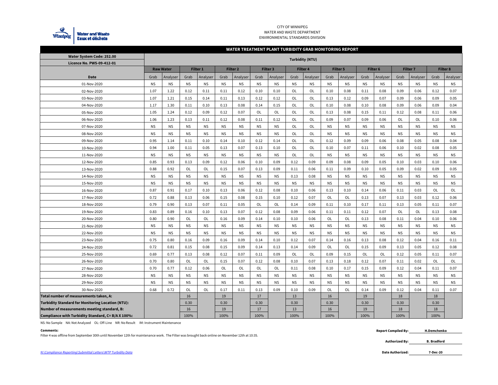

#### CITY OF WINNIPEG WATER AND WASTE DEPARTMENT ENVIRONMENTAL STANDARDS DIVISION

#### **WATER TREATMENT PLANT TURBIDITY GRAB MONITORING REPORT**

| Water System Code: 252.00                                | <b>Turbidity (NTU)</b> |                  |                 |           |           |                 |           |                 |           |                 |                 |           |                     |           |                 |           |           |                 |
|----------------------------------------------------------|------------------------|------------------|-----------------|-----------|-----------|-----------------|-----------|-----------------|-----------|-----------------|-----------------|-----------|---------------------|-----------|-----------------|-----------|-----------|-----------------|
| Licence No. PWS-09-412-01                                |                        |                  |                 |           |           |                 |           |                 |           |                 |                 |           |                     |           |                 |           |           |                 |
|                                                          |                        | <b>Raw Water</b> | <b>Filter 1</b> |           |           | <b>Filter 2</b> |           | <b>Filter 3</b> |           | <b>Filter 4</b> | <b>Filter 5</b> |           | Filter <sub>6</sub> |           | <b>Filter 7</b> |           |           | <b>Filter 8</b> |
| Date                                                     | Grab                   | Analyser         | Grab            | Analyser  | Grab      | Analyser        | Grab      | Analyser        | Grab      | Analyser        | Grab            | Analyser  | Grab                | Analyser  | Grab            | Analyser  | Grab      | Analyser        |
| 01-Nov-2020                                              | <b>NS</b>              | <b>NS</b>        | <b>NS</b>       | <b>NS</b> | <b>NS</b> | <b>NS</b>       | <b>NS</b> | <b>NS</b>       | <b>NS</b> | <b>NS</b>       | <b>NS</b>       | <b>NS</b> | <b>NS</b>           | <b>NS</b> | <b>NS</b>       | <b>NS</b> | <b>NS</b> | <b>NS</b>       |
| 02-Nov-2020                                              | 1.07                   | 1.22             | 0.12            | 0.11      | 0.11      | 0.12            | 0.10      | 0.10            | OL        | OL              | 0.10            | 0.08      | 0.11                | 0.08      | 0.09            | 0.06      | 0.12      | 0.07            |
| 03-Nov-2020                                              | 1.07                   | 1.21             | 0.15            | 0.14      | 0.11      | 0.13            | 0.12      | 0.12            | OL        | OL              | 0.13            | 0.12      | 0.09                | 0.07      | 0.09            | 0.06      | 0.09      | 0.05            |
| 04-Nov-2020                                              | 1.17                   | 1.30             | 0.11            | 0.10      | 0.13      | 0.08            | 0.14      | 0.15            | OL        | OL              | 0.10            | 0.08      | 0.10                | 0.08      | 0.09            | 0.06      | 0.09      | 0.04            |
| 05-Nov-2020                                              | 1.05                   | 1.24             | 0.12            | 0.09      | 0.12      | 0.07            | OL        | OL              | OL        | OL              | 0.13            | 0.08      | 0.15                | 0.11      | 0.12            | 0.08      | 0.11      | 0.06            |
| 06-Nov-2020                                              | 1.06                   | 1.23             | 0.13            | 0.11      | 0.12      | 0.08            | 0.11      | 0.12            | OL        | OL              | 0.09            | 0.07      | 0.09                | 0.06      | OL              | OL        | 0.10      | 0.06            |
| 07-Nov-2020                                              | <b>NS</b>              | <b>NS</b>        | <b>NS</b>       | <b>NS</b> | <b>NS</b> | <b>NS</b>       | <b>NS</b> | <b>NS</b>       | OL        | OL              | <b>NS</b>       | <b>NS</b> | <b>NS</b>           | <b>NS</b> | <b>NS</b>       | <b>NS</b> | <b>NS</b> | <b>NS</b>       |
| 08-Nov-2020                                              | <b>NS</b>              | <b>NS</b>        | <b>NS</b>       | <b>NS</b> | <b>NS</b> | <b>NS</b>       | <b>NS</b> | <b>NS</b>       | OL        | OL              | <b>NS</b>       | <b>NS</b> | <b>NS</b>           | <b>NS</b> | <b>NS</b>       | <b>NS</b> | <b>NS</b> | <b>NS</b>       |
| 09-Nov-2020                                              | 0.95                   | 1.14             | 0.11            | 0.10      | 0.14      | 0.10            | 0.12      | 0.14            | OL        | OL              | 0.12            | 0.09      | 0.09                | 0.06      | 0.08            | 0.05      | 0.08      | 0.04            |
| 10-Nov-2020                                              | 0.94                   | 1.00             | 0.11            | 0.05      | 0.13      | 0.07            | 0.13      | 0.10            | OL        | OL              | 0.10            | 0.07      | 0.11                | 0.06      | 0.10            | 0.02      | 0.08      | 0.05            |
| 11-Nov-2020                                              | <b>NS</b>              | <b>NS</b>        | <b>NS</b>       | <b>NS</b> | <b>NS</b> | <b>NS</b>       | <b>NS</b> | <b>NS</b>       | OL        | OL              | <b>NS</b>       | <b>NS</b> | <b>NS</b>           | <b>NS</b> | <b>NS</b>       | <b>NS</b> | <b>NS</b> | <b>NS</b>       |
| 12-Nov-2020                                              | 0.85                   | 0.93             | 0.13            | 0.09      | 0.12      | 0.06            | 0.10      | 0.09            | 0.12      | 0.09            | 0.09            | 0.08      | 0.09                | 0.05      | 0.10            | 0.03      | 0.10      | 0.06            |
| 13-Nov-2020                                              | 0.88                   | 0.92             | OL              | OL        | 0.15      | 0.07            | 0.13      | 0.09            | 0.11      | 0.06            | 0.11            | 0.09      | 0.10                | 0.05      | 0.09            | 0.02      | 0.09      | 0.05            |
| 14-Nov-2020                                              | <b>NS</b>              | <b>NS</b>        | <b>NS</b>       | <b>NS</b> | <b>NS</b> | <b>NS</b>       | <b>NS</b> | <b>NS</b>       | 0.13      | 0.08            | <b>NS</b>       | <b>NS</b> | <b>NS</b>           | <b>NS</b> | <b>NS</b>       | <b>NS</b> | <b>NS</b> | ΝS              |
| 15-Nov-2020                                              | <b>NS</b>              | <b>NS</b>        | <b>NS</b>       | <b>NS</b> | <b>NS</b> | <b>NS</b>       | <b>NS</b> | <b>NS</b>       | <b>NS</b> | <b>NS</b>       | <b>NS</b>       | <b>NS</b> | <b>NS</b>           | <b>NS</b> | <b>NS</b>       | <b>NS</b> | <b>NS</b> | <b>NS</b>       |
| 16-Nov-2020                                              | 0.87                   | 0.91             | 0.17            | 0.10      | 0.13      | 0.06            | 0.12      | 0.08            | 0.10      | 0.06            | 0.13            | 0.10      | 0.14                | 0.06      | 0.11            | 0.03      | OL        | OL              |
| 17-Nov-2020                                              | 0.72                   | 0.88             | 0.13            | 0.06      | 0.15      | 0.08            | 0.15      | 0.10            | 0.12      | 0.07            | OL              | OL        | 0.13                | 0.07      | 0.13            | 0.03      | 0.12      | 0.06            |
| 18-Nov-2020                                              | 0.79                   | 0.90             | 0.13            | 0.07      | 0.11      | 0.05            | OL        | OL              | 0.14      | 0.09            | 0.11            | 0.10      | 0.17                | 0.11      | 0.13            | 0.05      | 0.11      | 0.07            |
| 19-Nov-2020                                              | 0.83                   | 0.89             | 0.16            | 0.10      | 0.13      | 0.07            | 0.12      | 0.08            | 0.09      | 0.06            | 0.11            | 0.11      | 0.12                | 0.07      | OL              | OL        | 0.13      | 0.08            |
| 20-Nov-2020                                              | 0.80                   | 0.90             | <b>OL</b>       | OL        | 0.16      | 0.09            | 0.14      | 0.10            | 0.10      | 0.06            | OL              | OL        | 0.13                | 0.08      | 0.11            | 0.04      | 0.10      | 0.06            |
| 21-Nov-2020                                              | <b>NS</b>              | <b>NS</b>        | <b>NS</b>       | <b>NS</b> | <b>NS</b> | <b>NS</b>       | <b>NS</b> | <b>NS</b>       | <b>NS</b> | <b>NS</b>       | <b>NS</b>       | <b>NS</b> | <b>NS</b>           | <b>NS</b> | <b>NS</b>       | <b>NS</b> | <b>NS</b> | <b>NS</b>       |
| 22-Nov-2020                                              | <b>NS</b>              | <b>NS</b>        | <b>NS</b>       | <b>NS</b> | <b>NS</b> | <b>NS</b>       | <b>NS</b> | <b>NS</b>       | <b>NS</b> | <b>NS</b>       | <b>NS</b>       | <b>NS</b> | <b>NS</b>           | <b>NS</b> | <b>NS</b>       | <b>NS</b> | <b>NS</b> | <b>NS</b>       |
| 23-Nov-2020                                              | 0.75                   | 0.80             | 0.16            | 0.09      | 0.16      | 0.09            | 0.14      | 0.10            | 0.12      | 0.07            | 0.14            | 0.16      | 0.13                | 0.08      | 0.12            | 0.04      | 0.16      | 0.11            |
| 24-Nov-2020                                              | 0.72                   | 0.81             | 0.15            | 0.08      | 0.15      | 0.09            | 0.14      | 0.13            | 0.14      | 0.09            | OL              | OL        | 0.15                | 0.09      | 0.13            | 0.05      | 0.12      | 0.08            |
| 25-Nov-2020                                              | 0.69                   | 0.77             | 0.13            | 0.08      | 0.12      | 0.07            | 0.11      | 0.09            | OL        | OL              | 0.09            | 0.15      | OL                  | OL        | 0.12            | 0.05      | 0.11      | 0.07            |
| 26-Nov-2020                                              | 0.70                   | 0.80             | OL              | OL        | 0.15      | 0.07            | 0.12      | 0.08            | 0.10      | 0.07            | 0.13            | 0.18      | 0.12                | 0.07      | 0.11            | 0.02      | OL        | OL              |
| 27-Nov-2020                                              | 0.70                   | 0.77             | 0.12            | 0.06      | OL        | OL              | OL        | OL              | 0.11      | 0.08            | 0.10            | 0.17      | 0.15                | 0.09      | 0.12            | 0.04      | 0.11      | 0.07            |
| 28-Nov-2020                                              | <b>NS</b>              | ΝS               | ΝS              | ΝS        | <b>NS</b> | ΝS              | <b>NS</b> | <b>NS</b>       | <b>NS</b> | <b>NS</b>       | <b>NS</b>       | <b>NS</b> | <b>NS</b>           | ΝS        | <b>NS</b>       | <b>NS</b> | <b>NS</b> | ΝS              |
| 29-Nov-2020                                              | <b>NS</b>              | <b>NS</b>        | <b>NS</b>       | <b>NS</b> | <b>NS</b> | <b>NS</b>       | <b>NS</b> | <b>NS</b>       | <b>NS</b> | <b>NS</b>       | <b>NS</b>       | <b>NS</b> | <b>NS</b>           | <b>NS</b> | <b>NS</b>       | <b>NS</b> | <b>NS</b> | <b>NS</b>       |
| 30-Nov-2020                                              | 0.68                   | 0.72             | OL              | OL        | 0.17      | 0.11            | 0.13      | 0.09            | 0.10      | 0.09            | OL              | OL        | 0.14                | 0.09      | 0.12            | 0.04      | 0.11      | 0.07            |
| Total number of measurements taken, A:                   |                        |                  | 16              |           | 19        |                 | 17        |                 | 13        |                 | 16              |           | 19                  |           | 18              |           | 18        |                 |
| <b>Turbidity Standard for Monitoring Location (NTU):</b> |                        |                  | 0.30            |           | 0.30      |                 | 0.30      |                 | 0.30      |                 | 0.30            |           | 0.30                |           | 0.30            |           | 0.30      |                 |
| Number of measurements meeting standard, B:              |                        |                  | 16              |           | 19        |                 | 17        |                 | 13        |                 | 16              |           | 19                  |           | 18              |           | 18        |                 |
| Compliance with Turbidity Standard, C= B/A X 100%:       |                        |                  | 100%            |           | 100%      |                 | 100%      |                 | 100%      |                 | 100%            |           | 100%                |           | 100%            |           | 100%      |                 |

NS: No Sample NA: Not Analyzed OL: Off-Line NR: No Result IM: Instrument Maintenance

**Comments:**<br>Filter 4 was offline from September 30th until November 12th for maintenance work. The Filter was brought back online on November 12th at 10:35.

N:\Compliance Reporting\Submittal Letters\WTP Turbidity Data **Date Authorized:**

**H.Demchenko**

**Authorized By: B. Bradford**

**7-Dec-20**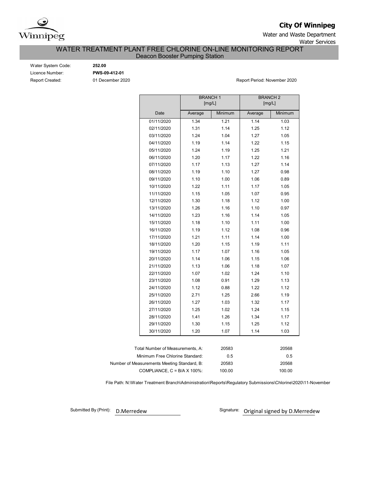

**City Of Winnipeg**

Water and Waste Department Water Services

# WATER TREATMENT PLANT FREE CHLORINE ON-LINE MONITORING REPORT

Deacon Booster Pumping Station

Water System Code: **252.00** Licence Number: **PWS-09-412-01**

Report Created: 01 December 2020 **Report Period: November 2020** Report Period: November 2020

|                                             |                                  | <b>BRANCH1</b> | [mg/L]  |         | <b>BRANCH 2</b><br>[mg/L] |  |  |
|---------------------------------------------|----------------------------------|----------------|---------|---------|---------------------------|--|--|
|                                             | Date                             | Average        | Minimum | Average | Minimum                   |  |  |
|                                             | 01/11/2020                       | 1.34           | 1.21    | 1.14    | 1.03                      |  |  |
|                                             | 02/11/2020                       | 1.31           | 1.14    | 1.25    | 1.12                      |  |  |
|                                             | 03/11/2020                       | 1.24           | 1.04    | 1.27    | 1.05                      |  |  |
|                                             | 04/11/2020                       | 1.19           | 1.14    | 1.22    | 1.15                      |  |  |
|                                             | 05/11/2020                       | 1.24           | 1.19    | 1.25    | 1.21                      |  |  |
|                                             | 06/11/2020                       | 1.20           | 1.17    | 1.22    | 1.16                      |  |  |
|                                             | 07/11/2020                       | 1.17           | 1.13    | 1.27    | 1.14                      |  |  |
|                                             | 08/11/2020                       | 1.19           | 1.10    | 1.27    | 0.98                      |  |  |
|                                             | 09/11/2020                       | 1.10           | 1.00    | 1.06    | 0.89                      |  |  |
|                                             | 10/11/2020                       | 1.22           | 1.11    | 1.17    | 1.05                      |  |  |
|                                             | 11/11/2020                       | 1.15           | 1.05    | 1.07    | 0.95                      |  |  |
|                                             | 12/11/2020                       | 1.30           | 1.18    | 1.12    | 1.00                      |  |  |
|                                             | 13/11/2020                       | 1.26           | 1.16    | 1.10    | 0.97                      |  |  |
|                                             | 14/11/2020                       | 1.23           | 1.16    | 1.14    | 1.05                      |  |  |
|                                             | 15/11/2020                       | 1.18           | 1.10    | 1.11    | 1.00                      |  |  |
|                                             | 16/11/2020                       | 1.19           | 1.12    | 1.08    | 0.96                      |  |  |
|                                             | 17/11/2020                       | 1.21           | 1.11    | 1.14    | 1.00                      |  |  |
|                                             | 18/11/2020                       | 1.20           | 1.15    | 1.19    | 1.11                      |  |  |
|                                             | 19/11/2020                       | 1.17           | 1.07    | 1.16    | 1.05                      |  |  |
|                                             | 20/11/2020                       | 1.14           | 1.06    | 1.15    | 1.06                      |  |  |
|                                             | 21/11/2020                       | 1.13           | 1.06    | 1.18    | 1.07                      |  |  |
|                                             | 22/11/2020                       | 1.07           | 1.02    | 1.24    | 1.10                      |  |  |
|                                             | 23/11/2020                       | 1.08           | 0.91    | 1.29    | 1.13                      |  |  |
|                                             | 24/11/2020                       | 1.12           | 0.88    | 1.22    | 1.12                      |  |  |
|                                             | 25/11/2020                       | 2.71           | 1.25    | 2.66    | 1.19                      |  |  |
|                                             | 26/11/2020                       | 1.27           | 1.03    | 1.32    | 1.17                      |  |  |
|                                             | 27/11/2020                       | 1.25           | 1.02    | 1.24    | 1.15                      |  |  |
|                                             | 28/11/2020                       | 1.41           | 1.26    | 1.34    | 1.17                      |  |  |
|                                             | 29/11/2020                       | 1.30           | 1.15    | 1.25    | 1.12                      |  |  |
|                                             | 30/11/2020                       | 1.20           | 1.07    | 1.14    | 1.03                      |  |  |
|                                             |                                  |                |         |         |                           |  |  |
|                                             | Total Number of Measurements, A: |                | 20583   |         | 20568                     |  |  |
|                                             | Minimum Free Chlorine Standard:  |                | 0.5     | 0.5     |                           |  |  |
| Number of Measurements Meeting Standard, B: |                                  |                | 20583   | 20568   |                           |  |  |

COMPLIANCE, C = B/A X 100%: 100.00 100.00

File Path: N:\Water Treatment Branch\Administration\Reports\Regulatory Submissions\Chlorine\2020\11-November

Submitted By (Print): D.Merredew

Signature: Original signed by D.Merredew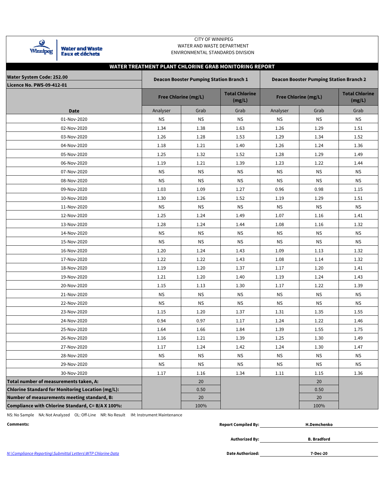| Ĩпп<br>u<br>٠ |  |
|---------------|--|

Water and Waste<br>Eaux et déchets

### CITY OF WINNIPEG WATER AND WASTE DEPARTMENT ENVIRONMENTAL STANDARDS DIVISION

|                                                   |           |                                                                                                  | WATER TREATMENT PLANT CHLORINE GRAB MONITORING REPORT |           |                      |                                 |  |  |  |  |  |  |  |  |
|---------------------------------------------------|-----------|--------------------------------------------------------------------------------------------------|-------------------------------------------------------|-----------|----------------------|---------------------------------|--|--|--|--|--|--|--|--|
| <b>Water System Code: 252.00</b>                  |           | <b>Deacon Booster Pumping Station Branch 1</b><br><b>Deacon Booster Pumping Station Branch 2</b> |                                                       |           |                      |                                 |  |  |  |  |  |  |  |  |
| <b>Licence No. PWS-09-412-01</b>                  |           |                                                                                                  |                                                       |           |                      |                                 |  |  |  |  |  |  |  |  |
|                                                   |           | <b>Free Chlorine (mg/L)</b>                                                                      | <b>Total Chlorine</b><br>(mg/L)                       |           | Free Chlorine (mg/L) | <b>Total Chlorine</b><br>(mg/L) |  |  |  |  |  |  |  |  |
| <b>Date</b>                                       | Analyser  | Grab                                                                                             | Grab                                                  | Analyser  | Grab                 | Grab                            |  |  |  |  |  |  |  |  |
| 01-Nov-2020                                       | ΝS        | <b>NS</b>                                                                                        | <b>NS</b>                                             | ΝS        | <b>NS</b>            | <b>NS</b>                       |  |  |  |  |  |  |  |  |
| 02-Nov-2020                                       | 1.34      | 1.38                                                                                             | 1.63                                                  | 1.26      | 1.29                 | 1.51                            |  |  |  |  |  |  |  |  |
| 03-Nov-2020                                       | 1.26      | 1.28                                                                                             | 1.53                                                  | 1.29      | 1.34                 | 1.52                            |  |  |  |  |  |  |  |  |
| 04-Nov-2020                                       | 1.18      | 1.21                                                                                             | 1.40                                                  | 1.26      | 1.24                 | 1.36                            |  |  |  |  |  |  |  |  |
| 05-Nov-2020                                       | 1.25      | 1.32                                                                                             | 1.52                                                  | 1.28      | 1.29                 | 1.49                            |  |  |  |  |  |  |  |  |
| 06-Nov-2020                                       | 1.19      | 1.21                                                                                             | 1.39                                                  | 1.23      | 1.22                 | 1.44                            |  |  |  |  |  |  |  |  |
| 07-Nov-2020                                       | <b>NS</b> | <b>NS</b>                                                                                        | <b>NS</b>                                             | <b>NS</b> | <b>NS</b>            | <b>NS</b>                       |  |  |  |  |  |  |  |  |
| 08-Nov-2020                                       | <b>NS</b> | <b>NS</b>                                                                                        | <b>NS</b>                                             | <b>NS</b> | <b>NS</b>            | <b>NS</b>                       |  |  |  |  |  |  |  |  |
| 09-Nov-2020                                       | 1.03      | 1.09                                                                                             | 1.27                                                  | 0.96      | 0.98                 | 1.15                            |  |  |  |  |  |  |  |  |
| 10-Nov-2020                                       | 1.30      | 1.26                                                                                             | 1.52                                                  | 1.19      | 1.29                 | 1.51                            |  |  |  |  |  |  |  |  |
| 11-Nov-2020                                       | <b>NS</b> | <b>NS</b>                                                                                        | <b>NS</b>                                             | <b>NS</b> | <b>NS</b>            | $\mathsf{NS}\xspace$            |  |  |  |  |  |  |  |  |
| 12-Nov-2020                                       | 1.25      | 1.24                                                                                             | 1.49                                                  | 1.07      | 1.16                 | 1.41                            |  |  |  |  |  |  |  |  |
| 13-Nov-2020                                       | 1.28      | 1.24                                                                                             | 1.44                                                  | 1.08      | 1.16                 | 1.32                            |  |  |  |  |  |  |  |  |
| 14-Nov-2020                                       | <b>NS</b> | <b>NS</b>                                                                                        | <b>NS</b>                                             | <b>NS</b> | <b>NS</b>            | <b>NS</b>                       |  |  |  |  |  |  |  |  |
| 15-Nov-2020                                       | <b>NS</b> | <b>NS</b>                                                                                        | <b>NS</b>                                             | <b>NS</b> | ΝS                   | <b>NS</b>                       |  |  |  |  |  |  |  |  |
| 16-Nov-2020                                       | 1.20      | 1.24                                                                                             | 1.43                                                  | 1.09      | 1.13                 | 1.32                            |  |  |  |  |  |  |  |  |
| 17-Nov-2020                                       | 1.22      | 1.22                                                                                             | 1.43                                                  | 1.08      | 1.14                 | 1.32                            |  |  |  |  |  |  |  |  |
| 18-Nov-2020                                       | 1.19      | 1.20                                                                                             | 1.37                                                  | 1.17      | 1.20                 | 1.41                            |  |  |  |  |  |  |  |  |
| 19-Nov-2020                                       | 1.21      | 1.20                                                                                             | 1.40                                                  | 1.19      | 1.24                 | 1.43                            |  |  |  |  |  |  |  |  |
| 20-Nov-2020                                       | 1.15      | 1.13                                                                                             | 1.30                                                  | 1.17      | 1.22                 | 1.39                            |  |  |  |  |  |  |  |  |
| 21-Nov-2020                                       | <b>NS</b> | <b>NS</b>                                                                                        | <b>NS</b>                                             | <b>NS</b> | <b>NS</b>            | <b>NS</b>                       |  |  |  |  |  |  |  |  |
| 22-Nov-2020                                       | <b>NS</b> | <b>NS</b>                                                                                        | <b>NS</b>                                             | <b>NS</b> | <b>NS</b>            | <b>NS</b>                       |  |  |  |  |  |  |  |  |
| 23-Nov-2020                                       | 1.15      | 1.20                                                                                             | 1.37                                                  | 1.31      | 1.35                 | 1.55                            |  |  |  |  |  |  |  |  |
| 24-Nov-2020                                       | 0.94      | 0.97                                                                                             | 1.17                                                  | 1.24      | 1.22                 | 1.46                            |  |  |  |  |  |  |  |  |
| 25-Nov-2020                                       | 1.64      | 1.66                                                                                             | 1.84                                                  | 1.39      | 1.55                 | 1.75                            |  |  |  |  |  |  |  |  |
| 26-Nov-2020                                       | 1.16      | 1.21                                                                                             | 1.39                                                  | 1.25      | 1.30                 | 1.49                            |  |  |  |  |  |  |  |  |
| 27-Nov-2020                                       | 1.17      | 1.24                                                                                             | 1.42                                                  | 1.24      | 1.30                 | 1.47                            |  |  |  |  |  |  |  |  |
| 28-Nov-2020                                       | <b>NS</b> | <b>NS</b>                                                                                        | <b>NS</b>                                             | <b>NS</b> | <b>NS</b>            | <b>NS</b>                       |  |  |  |  |  |  |  |  |
| 29-Nov-2020                                       | <b>NS</b> | <b>NS</b>                                                                                        | <b>NS</b>                                             | <b>NS</b> | <b>NS</b>            | <b>NS</b>                       |  |  |  |  |  |  |  |  |
| 30-Nov-2020                                       | 1.17      | 1.16                                                                                             | 1.34                                                  | 1.11      | 1.15                 | 1.36                            |  |  |  |  |  |  |  |  |
| Total number of measurements taken, A:            |           | 20                                                                                               |                                                       |           | 20                   |                                 |  |  |  |  |  |  |  |  |
| Chlorine Standard for Monitoring Location (mg/L): |           | 0.50                                                                                             |                                                       |           | 0.50                 |                                 |  |  |  |  |  |  |  |  |
| Number of measurements meeting standard, B:       |           | 20                                                                                               |                                                       |           | 20                   |                                 |  |  |  |  |  |  |  |  |
| Compliance with Chlorine Standard, C= B/A X 100%: |           | 100%                                                                                             |                                                       |           | 100%                 |                                 |  |  |  |  |  |  |  |  |

NS: No Sample NA: Not Analyzed OL: Off-Line NR: No Result IM: Instrument Maintenance

**Comments: Report Compiled By: H.Demchenko**

**Authorized By: B. Bradford**

N:\Compliance Reporting\Submittal Letters\WTP Chlorine Data

**7-Dec-20**